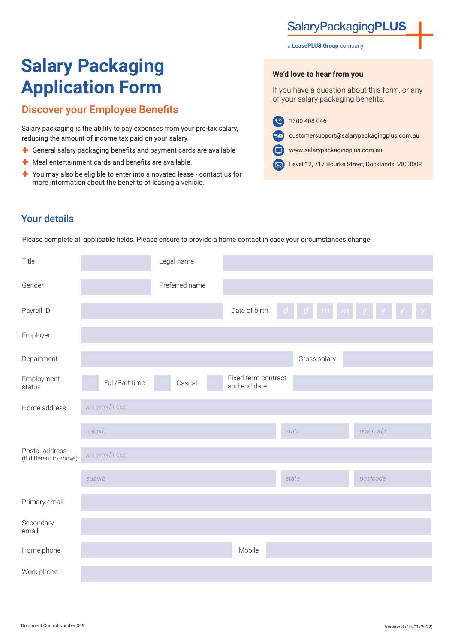## **SalaryPackagingPLUS**

#### a **LeasePLUS Group** company

# **Salary Packaging Application Form**

## Discover your Employee Benefits

Salary packaging is the ability to pay expenses from your pre-tax salary, reducing the amount of income tax paid on your salary.

- General salary packaging benefits and payment cards are available
- $\div$  Meal entertainment cards and benefits are available.
- ٠ You may also be eligible to enter into a novated lease - contact us for more information about the benefits of leasing a vehicle.

#### **We'd love to hear from you**

If you have a question about this form, or any of your salary packaging benefits:

- E 1300 408 046
- customersupport@salarypackagingplus.com.au  $\epsilon$ 
	- www.salarypackagingplus.com.au
- Level 12, 717 Bourke Street, Docklands, VIC 3008 $(\nabla)$

## Your details

Please complete all applicable fields. Please ensure to provide a home contact in case your circumstances change.

| Title                                     |                | Legal name     |                                     |                                |            |
|-------------------------------------------|----------------|----------------|-------------------------------------|--------------------------------|------------|
| Gender                                    |                | Preferred name |                                     |                                |            |
| Payroll ID                                |                |                | Date of birth                       | $m$ $m$ $y$<br>$d \mid d \mid$ | $y \mid y$ |
| Employer                                  |                |                |                                     |                                |            |
| Department                                |                |                |                                     | Gross salary                   |            |
| Employment<br>status                      | Full/Part time | Casual         | Fixed term contract<br>and end date |                                |            |
| Home address                              | street address |                |                                     |                                |            |
|                                           | suburb         |                |                                     | state                          | postcode   |
| Postal address<br>(if different to above) | street address |                |                                     |                                |            |
|                                           | suburb         |                |                                     | state                          | postcode   |
| Primary email                             |                |                |                                     |                                |            |
| Secondary<br>email                        |                |                |                                     |                                |            |
| Home phone                                |                |                | Mobile                              |                                |            |
| Work phone                                |                |                |                                     |                                |            |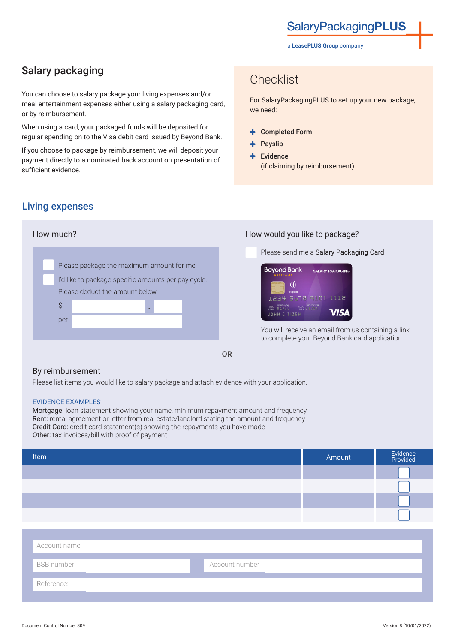## Salary packaging

You can choose to salary package your living expenses and/or meal entertainment expenses either using a salary packaging card, or by reimbursement.

When using a card, your packaged funds will be deposited for regular spending on to the Visa debit card issued by Beyond Bank.

If you choose to package by reimbursement, we will deposit your payment directly to a nominated back account on presentation of sufficient evidence.

# **Checklist**

For SalaryPackagingPLUS to set up your new package, we need:

- Completed Form
- Payslip
- Evidence (if claiming by reimbursement)

## Living expenses



#### By reimbursement

Please list items you would like to salary package and attach evidence with your application.

#### EVIDENCE EXAMPLES

Mortgage: loan statement showing your name, minimum repayment amount and frequency Rent: rental agreement or letter from real estate/landlord stating the amount and frequency Credit Card: credit card statement(s) showing the repayments you have made Other: tax invoices/bill with proof of payment

| Item          | Amount | Evidence<br>Provided |
|---------------|--------|----------------------|
|               |        |                      |
|               |        |                      |
|               |        |                      |
|               |        |                      |
|               |        |                      |
|               |        |                      |
| Account name: |        |                      |

Reference: BSB number Account number

a **LeasePLUS Group** company